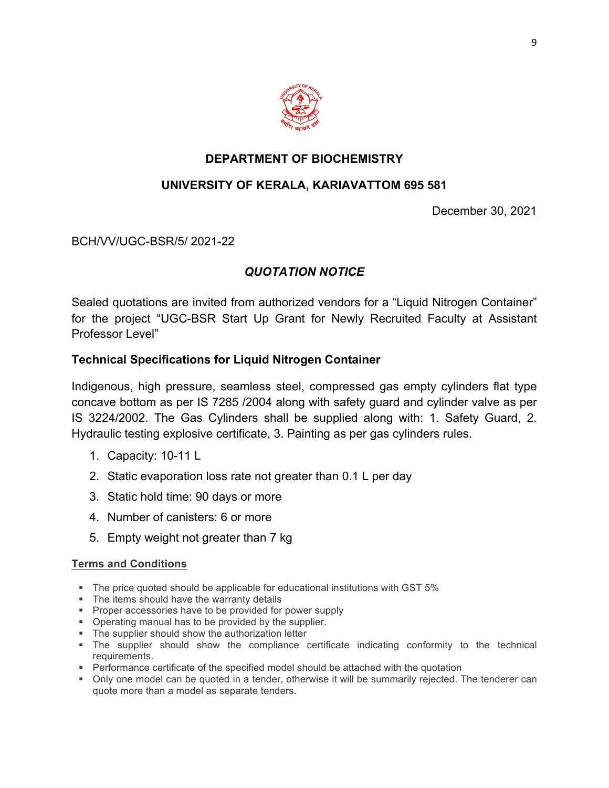

# **DEPARTMENT OF BIOCHEMISTRY**

# **UNIVERSITY OF KERALA, KARIAVATTOM 695 581**

December 30, 2021

BCH/VV/UGC-BSR/5/ 2021-22

## *QUOTATION NOTICE*

Sealed quotations are invited from authorized vendors for a "Liquid Nitrogen Container" for the project "UGC-BSR Start Up Grant for Newly Recruited Faculty at Assistant Professor Level"

### **Technical Specifications for Liquid Nitrogen Container**

Indigenous, high pressure, seamless steel, compressed gas empty cylinders flat type concave bottom as per IS 7285 /2004 along with safety guard and cylinder valve as per IS 3224/2002. The Gas Cylinders shall be supplied along with: 1. Safety Guard, 2. Hydraulic testing explosive certificate, 3. Painting as per gas cylinders rules.

- 1. Capacity: 10-11 L
- 2. Static evaporation loss rate not greater than 0.1 L per day
- 3. Static hold time: 90 days or more
- 4. Number of canisters: 6 or more
- 5. Empty weight not greater than 7 kg

#### **Terms and Conditions**

- § The price quoted should be applicable for educational institutions with GST 5%
- The items should have the warranty details
- § Proper accessories have to be provided for power supply
- § Operating manual has to be provided by the supplier.
- The supplier should show the authorization letter
- § The supplier should show the compliance certificate indicating conformity to the technical requirements.
- Performance certificate of the specified model should be attached with the quotation
- Only one model can be quoted in a tender, otherwise it will be summarily rejected. The tenderer can quote more than a model as separate tenders.